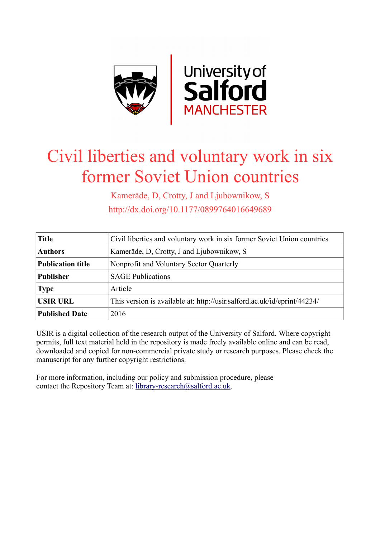

# Civil liberties and voluntary work in six former Soviet Union countries

Kamerāde, D, Crotty, J and Ljubownikow, S http://dx.doi.org/10.1177/0899764016649689

| <b>Title</b>             | Civil liberties and voluntary work in six former Soviet Union countries  |  |  |
|--------------------------|--------------------------------------------------------------------------|--|--|
| <b>Authors</b>           | Kamerāde, D. Crotty, J and Ljubownikow, S.                               |  |  |
| <b>Publication title</b> | Nonprofit and Voluntary Sector Quarterly                                 |  |  |
| <b>Publisher</b>         | <b>SAGE Publications</b>                                                 |  |  |
| <b>Type</b>              | Article                                                                  |  |  |
| <b>USIR URL</b>          | This version is available at: http://usir.salford.ac.uk/id/eprint/44234/ |  |  |
| <b>Published Date</b>    | 2016                                                                     |  |  |

USIR is a digital collection of the research output of the University of Salford. Where copyright permits, full text material held in the repository is made freely available online and can be read, downloaded and copied for non-commercial private study or research purposes. Please check the manuscript for any further copyright restrictions.

For more information, including our policy and submission procedure, please contact the Repository Team at: [library-research@salford.ac.uk.](mailto:library-research@salford.ac.uk)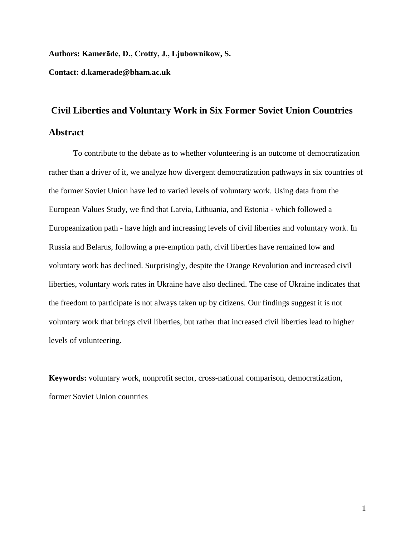#### **Authors: Kamerāde, D., Crotty, J., Ljubownikow, S.**

**Contact: d.kamerade@bham.ac.uk**

# **Civil Liberties and Voluntary Work in Six Former Soviet Union Countries Abstract**

To contribute to the debate as to whether volunteering is an outcome of democratization rather than a driver of it, we analyze how divergent democratization pathways in six countries of the former Soviet Union have led to varied levels of voluntary work. Using data from the European Values Study, we find that Latvia, Lithuania, and Estonia - which followed a Europeanization path - have high and increasing levels of civil liberties and voluntary work. In Russia and Belarus, following a pre-emption path, civil liberties have remained low and voluntary work has declined. Surprisingly, despite the Orange Revolution and increased civil liberties, voluntary work rates in Ukraine have also declined. The case of Ukraine indicates that the freedom to participate is not always taken up by citizens. Our findings suggest it is not voluntary work that brings civil liberties, but rather that increased civil liberties lead to higher levels of volunteering.

**Keywords:** voluntary work, nonprofit sector, cross-national comparison, democratization, former Soviet Union countries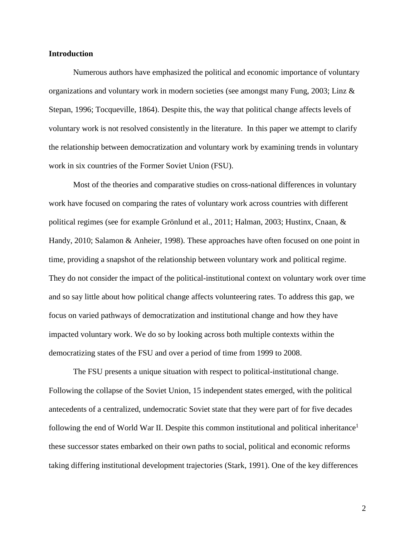#### **Introduction**

Numerous authors have emphasized the political and economic importance of voluntary organizations and voluntary work in modern societies (see amongst many Fung, 2003; Linz & Stepan, 1996; Tocqueville, 1864). Despite this, the way that political change affects levels of voluntary work is not resolved consistently in the literature. In this paper we attempt to clarify the relationship between democratization and voluntary work by examining trends in voluntary work in six countries of the Former Soviet Union (FSU).

Most of the theories and comparative studies on cross-national differences in voluntary work have focused on comparing the rates of voluntary work across countries with different political regimes (see for example Grönlund et al., 2011; Halman, 2003; Hustinx, Cnaan, & Handy, 2010; Salamon & Anheier, 1998). These approaches have often focused on one point in time, providing a snapshot of the relationship between voluntary work and political regime. They do not consider the impact of the political-institutional context on voluntary work over time and so say little about how political change affects volunteering rates. To address this gap, we focus on varied pathways of democratization and institutional change and how they have impacted voluntary work. We do so by looking across both multiple contexts within the democratizing states of the FSU and over a period of time from 1999 to 2008.

The FSU presents a unique situation with respect to political-institutional change. Following the collapse of the Soviet Union, 15 independent states emerged, with the political antecedents of a centralized, undemocratic Soviet state that they were part of for five decades following the end of World War II. Despite this common institutional and political inheritance<sup>1</sup> these successor states embarked on their own paths to social, political and economic reforms taking differing institutional development trajectories (Stark, 1991). One of the key differences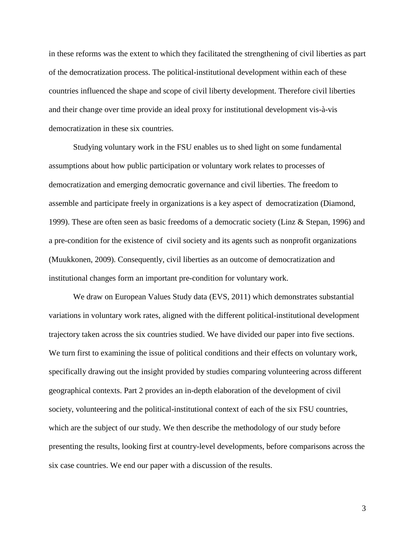in these reforms was the extent to which they facilitated the strengthening of civil liberties as part of the democratization process. The political-institutional development within each of these countries influenced the shape and scope of civil liberty development. Therefore civil liberties and their change over time provide an ideal proxy for institutional development vis-à-vis democratization in these six countries.

Studying voluntary work in the FSU enables us to shed light on some fundamental assumptions about how public participation or voluntary work relates to processes of democratization and emerging democratic governance and civil liberties. The freedom to assemble and participate freely in organizations is a key aspect of democratization (Diamond, 1999). These are often seen as basic freedoms of a democratic society (Linz & Stepan, 1996) and a pre-condition for the existence of civil society and its agents such as nonprofit organizations (Muukkonen, 2009). Consequently, civil liberties as an outcome of democratization and institutional changes form an important pre-condition for voluntary work.

We draw on European Values Study data (EVS, 2011) which demonstrates substantial variations in voluntary work rates, aligned with the different political-institutional development trajectory taken across the six countries studied. We have divided our paper into five sections. We turn first to examining the issue of political conditions and their effects on voluntary work, specifically drawing out the insight provided by studies comparing volunteering across different geographical contexts. Part 2 provides an in-depth elaboration of the development of civil society, volunteering and the political-institutional context of each of the six FSU countries, which are the subject of our study. We then describe the methodology of our study before presenting the results, looking first at country-level developments, before comparisons across the six case countries. We end our paper with a discussion of the results.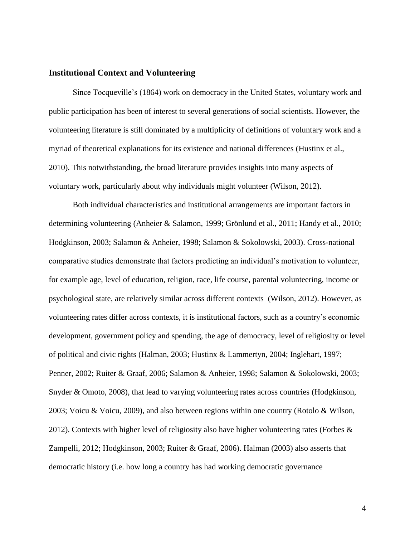#### **Institutional Context and Volunteering**

Since Tocqueville's (1864) work on democracy in the United States, voluntary work and public participation has been of interest to several generations of social scientists. However, the volunteering literature is still dominated by a multiplicity of definitions of voluntary work and a myriad of theoretical explanations for its existence and national differences (Hustinx et al., 2010). This notwithstanding, the broad literature provides insights into many aspects of voluntary work, particularly about why individuals might volunteer (Wilson, 2012).

Both individual characteristics and institutional arrangements are important factors in determining volunteering (Anheier & Salamon, 1999; Grönlund et al., 2011; Handy et al., 2010; Hodgkinson, 2003; Salamon & Anheier, 1998; Salamon & Sokolowski, 2003). Cross-national comparative studies demonstrate that factors predicting an individual's motivation to volunteer, for example age, level of education, religion, race, life course, parental volunteering, income or psychological state, are relatively similar across different contexts (Wilson, 2012). However, as volunteering rates differ across contexts, it is institutional factors, such as a country's economic development, government policy and spending, the age of democracy, level of religiosity or level of political and civic rights (Halman, 2003; Hustinx & Lammertyn, 2004; Inglehart, 1997; Penner, 2002; Ruiter & Graaf, 2006; Salamon & Anheier, 1998; Salamon & Sokolowski, 2003; Snyder & Omoto, 2008), that lead to varying volunteering rates across countries (Hodgkinson, 2003; Voicu & Voicu, 2009), and also between regions within one country (Rotolo & Wilson, 2012). Contexts with higher level of religiosity also have higher volunteering rates (Forbes  $\&$ Zampelli, 2012; Hodgkinson, 2003; Ruiter & Graaf, 2006). Halman (2003) also asserts that democratic history (i.e. how long a country has had working democratic governance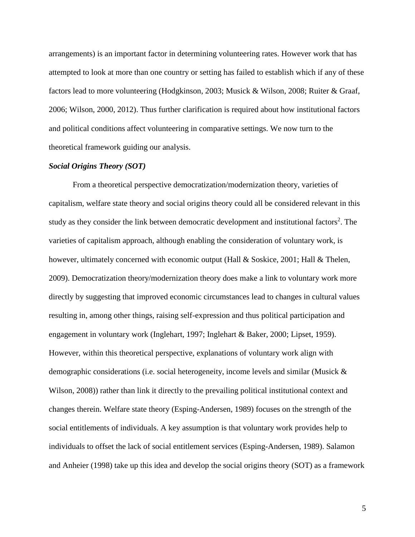arrangements) is an important factor in determining volunteering rates. However work that has attempted to look at more than one country or setting has failed to establish which if any of these factors lead to more volunteering (Hodgkinson, 2003; Musick & Wilson, 2008; Ruiter & Graaf, 2006; Wilson, 2000, 2012). Thus further clarification is required about how institutional factors and political conditions affect volunteering in comparative settings. We now turn to the theoretical framework guiding our analysis.

#### *Social Origins Theory (SOT)*

From a theoretical perspective democratization/modernization theory, varieties of capitalism, welfare state theory and social origins theory could all be considered relevant in this study as they consider the link between democratic development and institutional factors<sup>2</sup>. The varieties of capitalism approach, although enabling the consideration of voluntary work, is however, ultimately concerned with economic output (Hall & Soskice, 2001; Hall & Thelen, 2009). Democratization theory/modernization theory does make a link to voluntary work more directly by suggesting that improved economic circumstances lead to changes in cultural values resulting in, among other things, raising self-expression and thus political participation and engagement in voluntary work (Inglehart, 1997; Inglehart & Baker, 2000; Lipset, 1959). However, within this theoretical perspective, explanations of voluntary work align with demographic considerations (i.e. social heterogeneity, income levels and similar (Musick & Wilson, 2008)) rather than link it directly to the prevailing political institutional context and changes therein. Welfare state theory (Esping-Andersen, 1989) focuses on the strength of the social entitlements of individuals. A key assumption is that voluntary work provides help to individuals to offset the lack of social entitlement services (Esping-Andersen, 1989). Salamon and Anheier (1998) take up this idea and develop the social origins theory (SOT) as a framework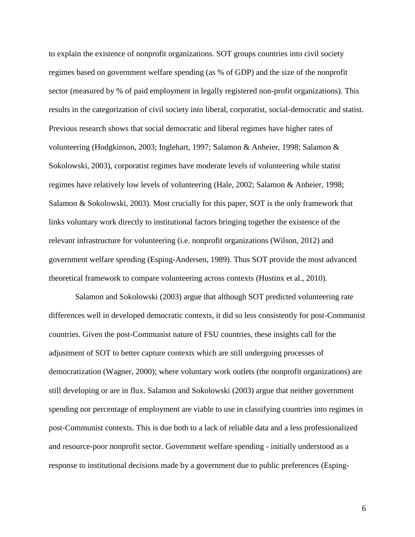to explain the existence of nonprofit organizations. SOT groups countries into civil society regimes based on government welfare spending (as % of GDP) and the size of the nonprofit sector (measured by % of paid employment in legally registered non-profit organizations). This results in the categorization of civil society into liberal, corporatist, social-democratic and statist. Previous research shows that social democratic and liberal regimes have higher rates of volunteering (Hodgkinson, 2003; Inglehart, 1997; Salamon & Anheier, 1998; Salamon & Sokolowski, 2003), corporatist regimes have moderate levels of volunteering while statist regimes have relatively low levels of volunteering (Hale, 2002; Salamon & Anheier, 1998; Salamon & Sokolowski, 2003). Most crucially for this paper, SOT is the only framework that links voluntary work directly to institutional factors bringing together the existence of the relevant infrastructure for volunteering (i.e. nonprofit organizations (Wilson, 2012) and government welfare spending (Esping-Andersen, 1989). Thus SOT provide the most advanced theoretical framework to compare volunteering across contexts (Hustinx et al., 2010).

Salamon and Sokolowski (2003) argue that although SOT predicted volunteering rate differences well in developed democratic contexts, it did so less consistently for post-Communist countries. Given the post-Communist nature of FSU countries, these insights call for the adjustment of SOT to better capture contexts which are still undergoing processes of democratization (Wagner, 2000); where voluntary work outlets (the nonprofit organizations) are still developing or are in flux. Salamon and Sokolowski (2003) argue that neither government spending nor percentage of employment are viable to use in classifying countries into regimes in post-Communist contexts. This is due both to a lack of reliable data and a less professionalized and resource-poor nonprofit sector. Government welfare spending - initially understood as a response to institutional decisions made by a government due to public preferences (Esping-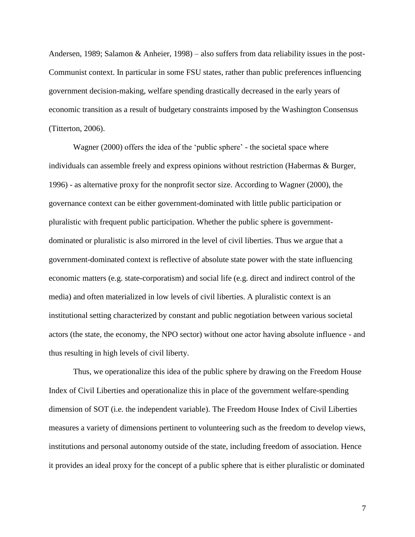Andersen, 1989; Salamon & Anheier, 1998) – also suffers from data reliability issues in the post-Communist context. In particular in some FSU states, rather than public preferences influencing government decision-making, welfare spending drastically decreased in the early years of economic transition as a result of budgetary constraints imposed by the Washington Consensus (Titterton, 2006).

Wagner (2000) offers the idea of the 'public sphere' - the societal space where individuals can assemble freely and express opinions without restriction (Habermas & Burger, 1996) - as alternative proxy for the nonprofit sector size. According to Wagner (2000), the governance context can be either government-dominated with little public participation or pluralistic with frequent public participation. Whether the public sphere is governmentdominated or pluralistic is also mirrored in the level of civil liberties. Thus we argue that a government-dominated context is reflective of absolute state power with the state influencing economic matters (e.g. state-corporatism) and social life (e.g. direct and indirect control of the media) and often materialized in low levels of civil liberties. A pluralistic context is an institutional setting characterized by constant and public negotiation between various societal actors (the state, the economy, the NPO sector) without one actor having absolute influence - and thus resulting in high levels of civil liberty.

Thus, we operationalize this idea of the public sphere by drawing on the Freedom House Index of Civil Liberties and operationalize this in place of the government welfare-spending dimension of SOT (i.e. the independent variable). The Freedom House Index of Civil Liberties measures a variety of dimensions pertinent to volunteering such as the freedom to develop views, institutions and personal autonomy outside of the state, including freedom of association. Hence it provides an ideal proxy for the concept of a public sphere that is either pluralistic or dominated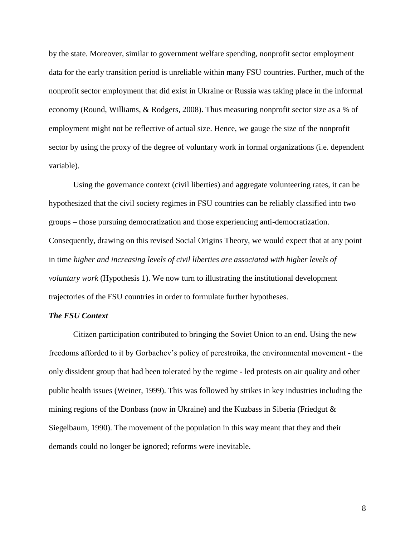by the state. Moreover, similar to government welfare spending, nonprofit sector employment data for the early transition period is unreliable within many FSU countries. Further, much of the nonprofit sector employment that did exist in Ukraine or Russia was taking place in the informal economy (Round, Williams, & Rodgers, 2008). Thus measuring nonprofit sector size as a % of employment might not be reflective of actual size. Hence, we gauge the size of the nonprofit sector by using the proxy of the degree of voluntary work in formal organizations (i.e. dependent variable).

Using the governance context (civil liberties) and aggregate volunteering rates, it can be hypothesized that the civil society regimes in FSU countries can be reliably classified into two groups – those pursuing democratization and those experiencing anti-democratization. Consequently, drawing on this revised Social Origins Theory, we would expect that at any point in time *higher and increasing levels of civil liberties are associated with higher levels of voluntary work* (Hypothesis 1). We now turn to illustrating the institutional development trajectories of the FSU countries in order to formulate further hypotheses.

#### *The FSU Context*

Citizen participation contributed to bringing the Soviet Union to an end. Using the new freedoms afforded to it by Gorbachev's policy of perestroika, the environmental movement - the only dissident group that had been tolerated by the regime - led protests on air quality and other public health issues (Weiner, 1999). This was followed by strikes in key industries including the mining regions of the Donbass (now in Ukraine) and the Kuzbass in Siberia (Friedgut & Siegelbaum, 1990). The movement of the population in this way meant that they and their demands could no longer be ignored; reforms were inevitable.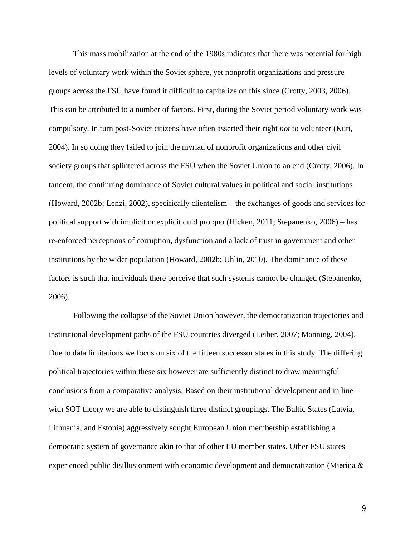This mass mobilization at the end of the 1980s indicates that there was potential for high levels of voluntary work within the Soviet sphere, yet nonprofit organizations and pressure groups across the FSU have found it difficult to capitalize on this since (Crotty, 2003, 2006). This can be attributed to a number of factors. First, during the Soviet period voluntary work was compulsory. In turn post-Soviet citizens have often asserted their right *not* to volunteer (Kuti, 2004). In so doing they failed to join the myriad of nonprofit organizations and other civil society groups that splintered across the FSU when the Soviet Union to an end (Crotty, 2006). In tandem, the continuing dominance of Soviet cultural values in political and social institutions (Howard, 2002b; Lenzi, 2002), specifically clientelism – the exchanges of goods and services for political support with implicit or explicit quid pro quo (Hicken, 2011; Stepanenko, 2006) – has re-enforced perceptions of corruption, dysfunction and a lack of trust in government and other institutions by the wider population (Howard, 2002b; Uhlin, 2010). The dominance of these factors is such that individuals there perceive that such systems cannot be changed (Stepanenko, 2006).

Following the collapse of the Soviet Union however, the democratization trajectories and institutional development paths of the FSU countries diverged (Leiber, 2007; Manning, 2004). Due to data limitations we focus on six of the fifteen successor states in this study. The differing political trajectories within these six however are sufficiently distinct to draw meaningful conclusions from a comparative analysis. Based on their institutional development and in line with SOT theory we are able to distinguish three distinct groupings. The Baltic States (Latvia, Lithuania, and Estonia) aggressively sought European Union membership establishing a democratic system of governance akin to that of other EU member states. Other FSU states experienced public disillusionment with economic development and democratization (Mieriņa &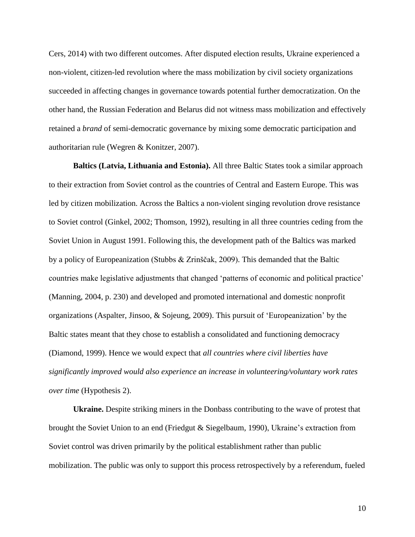Cers, 2014) with two different outcomes. After disputed election results, Ukraine experienced a non-violent, citizen-led revolution where the mass mobilization by civil society organizations succeeded in affecting changes in governance towards potential further democratization. On the other hand, the Russian Federation and Belarus did not witness mass mobilization and effectively retained a *brand* of semi-democratic governance by mixing some democratic participation and authoritarian rule (Wegren & Konitzer, 2007).

**Baltics (Latvia, Lithuania and Estonia).** All three Baltic States took a similar approach to their extraction from Soviet control as the countries of Central and Eastern Europe. This was led by citizen mobilization. Across the Baltics a non-violent singing revolution drove resistance to Soviet control (Ginkel, 2002; Thomson, 1992), resulting in all three countries ceding from the Soviet Union in August 1991. Following this, the development path of the Baltics was marked by a policy of Europeanization (Stubbs & Zrinščak, 2009). This demanded that the Baltic countries make legislative adjustments that changed 'patterns of economic and political practice' (Manning, 2004, p. 230) and developed and promoted international and domestic nonprofit organizations (Aspalter, Jinsoo, & Sojeung, 2009). This pursuit of 'Europeanization' by the Baltic states meant that they chose to establish a consolidated and functioning democracy (Diamond, 1999). Hence we would expect that *all countries where civil liberties have significantly improved would also experience an increase in volunteering/voluntary work rates over time* (Hypothesis 2).

**Ukraine.** Despite striking miners in the Donbass contributing to the wave of protest that brought the Soviet Union to an end (Friedgut & Siegelbaum, 1990), Ukraine's extraction from Soviet control was driven primarily by the political establishment rather than public mobilization. The public was only to support this process retrospectively by a referendum, fueled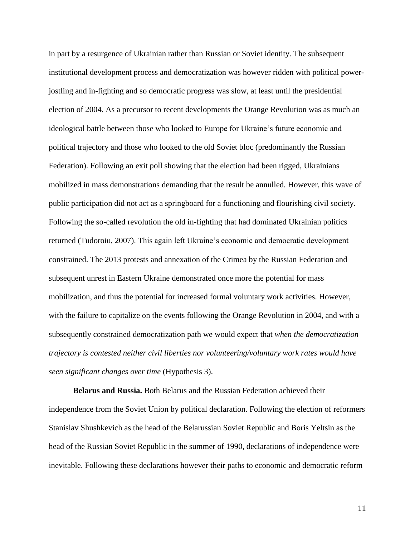in part by a resurgence of Ukrainian rather than Russian or Soviet identity. The subsequent institutional development process and democratization was however ridden with political powerjostling and in-fighting and so democratic progress was slow, at least until the presidential election of 2004. As a precursor to recent developments the Orange Revolution was as much an ideological battle between those who looked to Europe for Ukraine's future economic and political trajectory and those who looked to the old Soviet bloc (predominantly the Russian Federation). Following an exit poll showing that the election had been rigged, Ukrainians mobilized in mass demonstrations demanding that the result be annulled. However, this wave of public participation did not act as a springboard for a functioning and flourishing civil society. Following the so-called revolution the old in-fighting that had dominated Ukrainian politics returned (Tudoroiu, 2007). This again left Ukraine's economic and democratic development constrained. The 2013 protests and annexation of the Crimea by the Russian Federation and subsequent unrest in Eastern Ukraine demonstrated once more the potential for mass mobilization, and thus the potential for increased formal voluntary work activities. However, with the failure to capitalize on the events following the Orange Revolution in 2004, and with a subsequently constrained democratization path we would expect that *when the democratization trajectory is contested neither civil liberties nor volunteering/voluntary work rates would have seen significant changes over time* (Hypothesis 3).

**Belarus and Russia.** Both Belarus and the Russian Federation achieved their independence from the Soviet Union by political declaration. Following the election of reformers Stanislav Shushkevich as the head of the Belarussian Soviet Republic and Boris Yeltsin as the head of the Russian Soviet Republic in the summer of 1990, declarations of independence were inevitable. Following these declarations however their paths to economic and democratic reform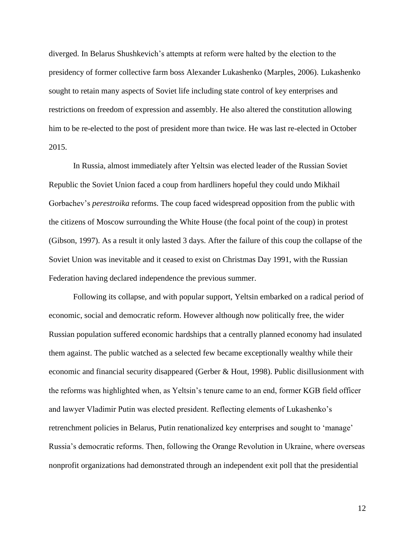diverged. In Belarus Shushkevich's attempts at reform were halted by the election to the presidency of former collective farm boss Alexander Lukashenko (Marples, 2006). Lukashenko sought to retain many aspects of Soviet life including state control of key enterprises and restrictions on freedom of expression and assembly. He also altered the constitution allowing him to be re-elected to the post of president more than twice. He was last re-elected in October 2015.

In Russia, almost immediately after Yeltsin was elected leader of the Russian Soviet Republic the Soviet Union faced a coup from hardliners hopeful they could undo Mikhail Gorbachev's *perestroika* reforms. The coup faced widespread opposition from the public with the citizens of Moscow surrounding the White House (the focal point of the coup) in protest (Gibson, 1997). As a result it only lasted 3 days. After the failure of this coup the collapse of the Soviet Union was inevitable and it ceased to exist on Christmas Day 1991, with the Russian Federation having declared independence the previous summer.

Following its collapse, and with popular support, Yeltsin embarked on a radical period of economic, social and democratic reform. However although now politically free, the wider Russian population suffered economic hardships that a centrally planned economy had insulated them against. The public watched as a selected few became exceptionally wealthy while their economic and financial security disappeared (Gerber & Hout, 1998). Public disillusionment with the reforms was highlighted when, as Yeltsin's tenure came to an end, former KGB field officer and lawyer Vladimir Putin was elected president. Reflecting elements of Lukashenko's retrenchment policies in Belarus, Putin renationalized key enterprises and sought to 'manage' Russia's democratic reforms. Then, following the Orange Revolution in Ukraine, where overseas nonprofit organizations had demonstrated through an independent exit poll that the presidential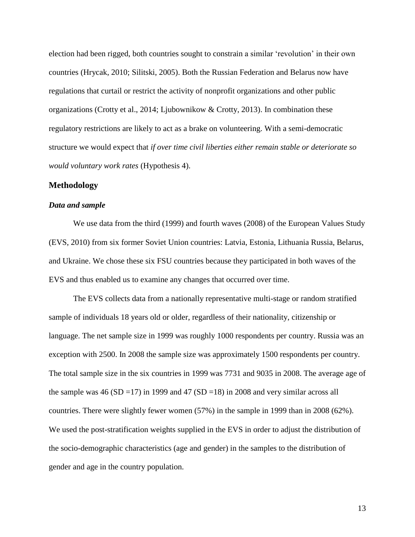election had been rigged, both countries sought to constrain a similar 'revolution' in their own countries (Hrycak, 2010; Silitski, 2005). Both the Russian Federation and Belarus now have regulations that curtail or restrict the activity of nonprofit organizations and other public organizations (Crotty et al., 2014; Ljubownikow & Crotty, 2013). In combination these regulatory restrictions are likely to act as a brake on volunteering. With a semi-democratic structure we would expect that *if over time civil liberties either remain stable or deteriorate so would voluntary work rates* (Hypothesis 4).

#### **Methodology**

#### *Data and sample*

We use data from the third (1999) and fourth waves (2008) of the European Values Study (EVS, 2010) from six former Soviet Union countries: Latvia, Estonia, Lithuania Russia, Belarus, and Ukraine. We chose these six FSU countries because they participated in both waves of the EVS and thus enabled us to examine any changes that occurred over time.

The EVS collects data from a nationally representative multi-stage or random stratified sample of individuals 18 years old or older, regardless of their nationality, citizenship or language. The net sample size in 1999 was roughly 1000 respondents per country. Russia was an exception with 2500. In 2008 the sample size was approximately 1500 respondents per country. The total sample size in the six countries in 1999 was 7731 and 9035 in 2008. The average age of the sample was  $46 (SD = 17)$  in 1999 and  $47 (SD = 18)$  in 2008 and very similar across all countries. There were slightly fewer women (57%) in the sample in 1999 than in 2008 (62%). We used the post-stratification weights supplied in the EVS in order to adjust the distribution of the socio-demographic characteristics (age and gender) in the samples to the distribution of gender and age in the country population.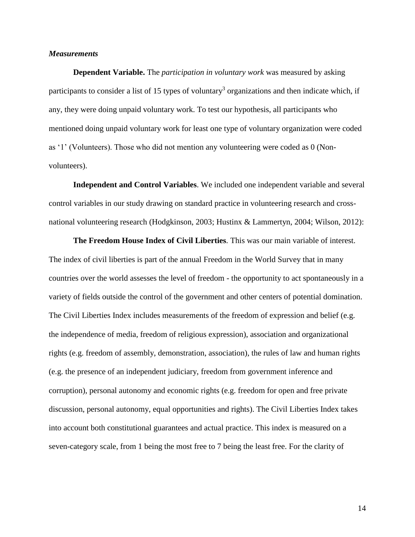#### *Measurements*

**Dependent Variable.** The *participation in voluntary work* was measured by asking participants to consider a list of 15 types of voluntary<sup>3</sup> organizations and then indicate which, if any, they were doing unpaid voluntary work. To test our hypothesis, all participants who mentioned doing unpaid voluntary work for least one type of voluntary organization were coded as '1' (Volunteers). Those who did not mention any volunteering were coded as 0 (Nonvolunteers).

**Independent and Control Variables**. We included one independent variable and several control variables in our study drawing on standard practice in volunteering research and crossnational volunteering research (Hodgkinson, 2003; Hustinx & Lammertyn, 2004; Wilson, 2012):

**The Freedom House Index of Civil Liberties***.* This was our main variable of interest. The index of civil liberties is part of the annual Freedom in the World Survey that in many countries over the world assesses the level of freedom - the opportunity to act spontaneously in a variety of fields outside the control of the government and other centers of potential domination. The Civil Liberties Index includes measurements of the freedom of expression and belief (e.g. the independence of media, freedom of religious expression), association and organizational rights (e.g. freedom of assembly, demonstration, association), the rules of law and human rights (e.g. the presence of an independent judiciary, freedom from government inference and corruption), personal autonomy and economic rights (e.g. freedom for open and free private discussion, personal autonomy, equal opportunities and rights). The Civil Liberties Index takes into account both constitutional guarantees and actual practice. This index is measured on a seven-category scale, from 1 being the most free to 7 being the least free. For the clarity of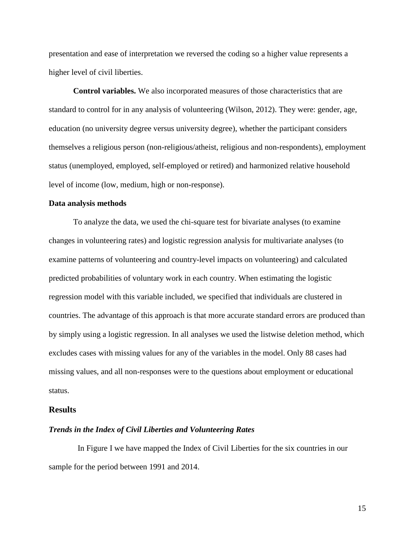presentation and ease of interpretation we reversed the coding so a higher value represents a higher level of civil liberties.

**Control variables.** We also incorporated measures of those characteristics that are standard to control for in any analysis of volunteering (Wilson, 2012). They were: gender, age, education (no university degree versus university degree), whether the participant considers themselves a religious person (non-religious/atheist, religious and non-respondents), employment status (unemployed, employed, self-employed or retired) and harmonized relative household level of income (low, medium, high or non-response).

#### **Data analysis methods**

To analyze the data, we used the chi-square test for bivariate analyses (to examine changes in volunteering rates) and logistic regression analysis for multivariate analyses (to examine patterns of volunteering and country-level impacts on volunteering) and calculated predicted probabilities of voluntary work in each country. When estimating the logistic regression model with this variable included, we specified that individuals are clustered in countries. The advantage of this approach is that more accurate standard errors are produced than by simply using a logistic regression. In all analyses we used the listwise deletion method, which excludes cases with missing values for any of the variables in the model. Only 88 cases had missing values, and all non-responses were to the questions about employment or educational status.

#### **Results**

#### *Trends in the Index of Civil Liberties and Volunteering Rates*

In Figure I we have mapped the Index of Civil Liberties for the six countries in our sample for the period between 1991 and 2014.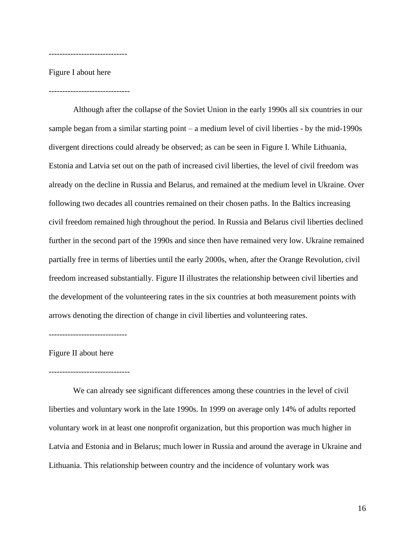Figure I about here

------------------------------

-----------------------------

Although after the collapse of the Soviet Union in the early 1990s all six countries in our sample began from a similar starting point – a medium level of civil liberties - by the mid-1990s divergent directions could already be observed; as can be seen in Figure I. While Lithuania, Estonia and Latvia set out on the path of increased civil liberties, the level of civil freedom was already on the decline in Russia and Belarus, and remained at the medium level in Ukraine. Over following two decades all countries remained on their chosen paths. In the Baltics increasing civil freedom remained high throughout the period. In Russia and Belarus civil liberties declined further in the second part of the 1990s and since then have remained very low. Ukraine remained partially free in terms of liberties until the early 2000s, when, after the Orange Revolution, civil freedom increased substantially. Figure II illustrates the relationship between civil liberties and the development of the volunteering rates in the six countries at both measurement points with arrows denoting the direction of change in civil liberties and volunteering rates.

Figure II about here

#### ------------------------------

-----------------------------

We can already see significant differences among these countries in the level of civil liberties and voluntary work in the late 1990s. In 1999 on average only 14% of adults reported voluntary work in at least one nonprofit organization, but this proportion was much higher in Latvia and Estonia and in Belarus; much lower in Russia and around the average in Ukraine and Lithuania. This relationship between country and the incidence of voluntary work was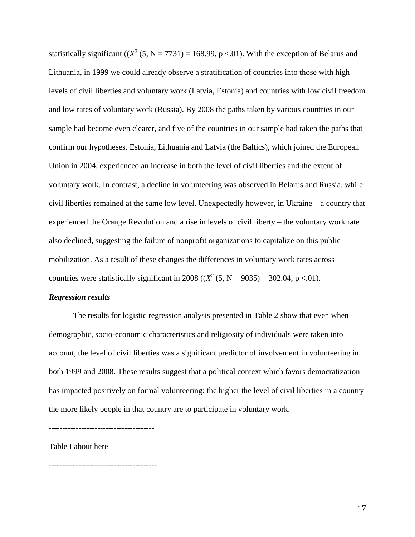statistically significant  $((X^2 (5, N = 7731) = 168.99, p < .01)$ . With the exception of Belarus and Lithuania, in 1999 we could already observe a stratification of countries into those with high levels of civil liberties and voluntary work (Latvia, Estonia) and countries with low civil freedom and low rates of voluntary work (Russia). By 2008 the paths taken by various countries in our sample had become even clearer, and five of the countries in our sample had taken the paths that confirm our hypotheses. Estonia, Lithuania and Latvia (the Baltics), which joined the European Union in 2004, experienced an increase in both the level of civil liberties and the extent of voluntary work. In contrast, a decline in volunteering was observed in Belarus and Russia, while civil liberties remained at the same low level. Unexpectedly however, in Ukraine – a country that experienced the Orange Revolution and a rise in levels of civil liberty – the voluntary work rate also declined, suggesting the failure of nonprofit organizations to capitalize on this public mobilization. As a result of these changes the differences in voluntary work rates across countries were statistically significant in 2008 (( $X^2$  (5, N = 9035) = 302.04, p <.01).

#### *Regression results*

The results for logistic regression analysis presented in Table 2 show that even when demographic, socio-economic characteristics and religiosity of individuals were taken into account, the level of civil liberties was a significant predictor of involvement in volunteering in both 1999 and 2008. These results suggest that a political context which favors democratization has impacted positively on formal volunteering: the higher the level of civil liberties in a country the more likely people in that country are to participate in voluntary work.

---------------------------------------

Table I about here

----------------------------------------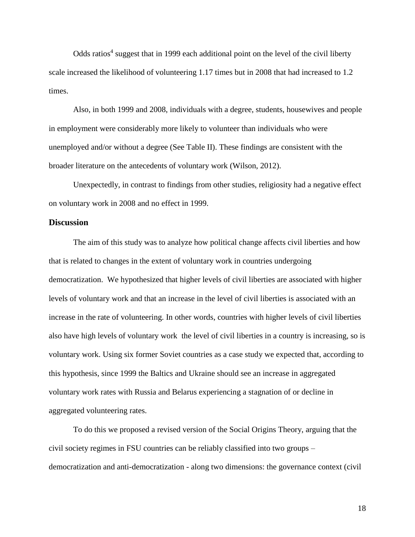Odds ratios<sup>4</sup> suggest that in 1999 each additional point on the level of the civil liberty scale increased the likelihood of volunteering 1.17 times but in 2008 that had increased to 1.2 times.

Also, in both 1999 and 2008, individuals with a degree, students, housewives and people in employment were considerably more likely to volunteer than individuals who were unemployed and/or without a degree (See Table II). These findings are consistent with the broader literature on the antecedents of voluntary work (Wilson, 2012).

Unexpectedly, in contrast to findings from other studies, religiosity had a negative effect on voluntary work in 2008 and no effect in 1999.

#### **Discussion**

The aim of this study was to analyze how political change affects civil liberties and how that is related to changes in the extent of voluntary work in countries undergoing democratization. We hypothesized that higher levels of civil liberties are associated with higher levels of voluntary work and that an increase in the level of civil liberties is associated with an increase in the rate of volunteering. In other words, countries with higher levels of civil liberties also have high levels of voluntary work the level of civil liberties in a country is increasing, so is voluntary work. Using six former Soviet countries as a case study we expected that, according to this hypothesis, since 1999 the Baltics and Ukraine should see an increase in aggregated voluntary work rates with Russia and Belarus experiencing a stagnation of or decline in aggregated volunteering rates.

To do this we proposed a revised version of the Social Origins Theory, arguing that the civil society regimes in FSU countries can be reliably classified into two groups – democratization and anti-democratization - along two dimensions: the governance context (civil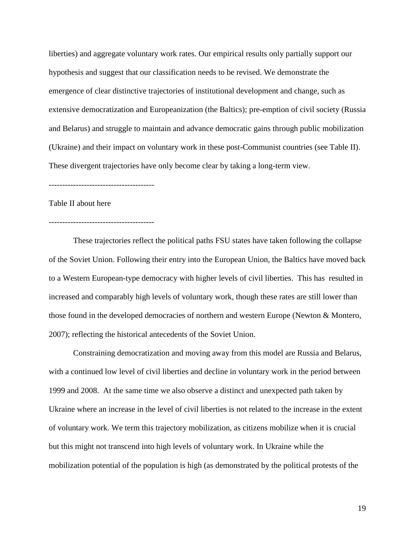liberties) and aggregate voluntary work rates. Our empirical results only partially support our hypothesis and suggest that our classification needs to be revised. We demonstrate the emergence of clear distinctive trajectories of institutional development and change, such as extensive democratization and Europeanization (the Baltics); pre-emption of civil society (Russia and Belarus) and struggle to maintain and advance democratic gains through public mobilization (Ukraine) and their impact on voluntary work in these post-Communist countries (see Table II). These divergent trajectories have only become clear by taking a long-term view.

---------------------------------------

Table II about here

---------------------------------------

These trajectories reflect the political paths FSU states have taken following the collapse of the Soviet Union. Following their entry into the European Union, the Baltics have moved back to a Western European-type democracy with higher levels of civil liberties. This has resulted in increased and comparably high levels of voluntary work, though these rates are still lower than those found in the developed democracies of northern and western Europe (Newton & Montero, 2007); reflecting the historical antecedents of the Soviet Union.

Constraining democratization and moving away from this model are Russia and Belarus, with a continued low level of civil liberties and decline in voluntary work in the period between 1999 and 2008. At the same time we also observe a distinct and unexpected path taken by Ukraine where an increase in the level of civil liberties is not related to the increase in the extent of voluntary work. We term this trajectory mobilization, as citizens mobilize when it is crucial but this might not transcend into high levels of voluntary work. In Ukraine while the mobilization potential of the population is high (as demonstrated by the political protests of the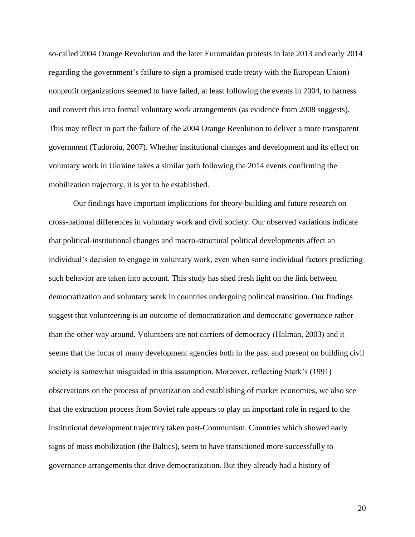so-called 2004 Orange Revolution and the later Euromaidan protests in late 2013 and early 2014 regarding the government's failure to sign a promised trade treaty with the European Union) nonprofit organizations seemed to have failed, at least following the events in 2004, to harness and convert this into formal voluntary work arrangements (as evidence from 2008 suggests). This may reflect in part the failure of the 2004 Orange Revolution to deliver a more transparent government (Tudoroiu, 2007). Whether institutional changes and development and its effect on voluntary work in Ukraine takes a similar path following the 2014 events confirming the mobilization trajectory, it is yet to be established.

Our findings have important implications for theory-building and future research on cross-national differences in voluntary work and civil society. Our observed variations indicate that political-institutional changes and macro-structural political developments affect an individual's decision to engage in voluntary work, even when some individual factors predicting such behavior are taken into account. This study has shed fresh light on the link between democratization and voluntary work in countries undergoing political transition. Our findings suggest that volunteering is an outcome of democratization and democratic governance rather than the other way around. Volunteers are not carriers of democracy (Halman, 2003) and it seems that the focus of many development agencies both in the past and present on building civil society is somewhat misguided in this assumption. Moreover, reflecting Stark's (1991) observations on the process of privatization and establishing of market economies, we also see that the extraction process from Soviet rule appears to play an important role in regard to the institutional development trajectory taken post-Communism. Countries which showed early signs of mass mobilization (the Baltics), seem to have transitioned more successfully to governance arrangements that drive democratization. But they already had a history of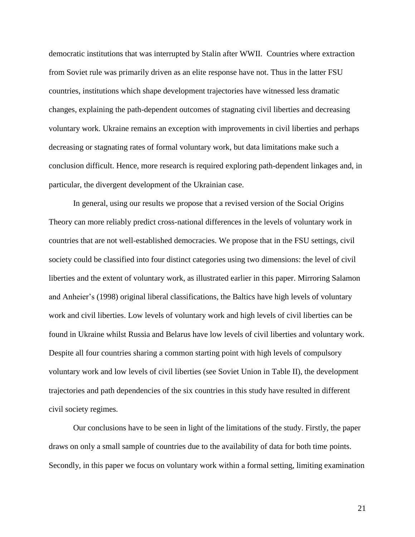democratic institutions that was interrupted by Stalin after WWII. Countries where extraction from Soviet rule was primarily driven as an elite response have not. Thus in the latter FSU countries, institutions which shape development trajectories have witnessed less dramatic changes, explaining the path-dependent outcomes of stagnating civil liberties and decreasing voluntary work. Ukraine remains an exception with improvements in civil liberties and perhaps decreasing or stagnating rates of formal voluntary work, but data limitations make such a conclusion difficult. Hence, more research is required exploring path-dependent linkages and, in particular, the divergent development of the Ukrainian case.

In general, using our results we propose that a revised version of the Social Origins Theory can more reliably predict cross-national differences in the levels of voluntary work in countries that are not well-established democracies. We propose that in the FSU settings, civil society could be classified into four distinct categories using two dimensions: the level of civil liberties and the extent of voluntary work, as illustrated earlier in this paper. Mirroring Salamon and Anheier's (1998) original liberal classifications, the Baltics have high levels of voluntary work and civil liberties. Low levels of voluntary work and high levels of civil liberties can be found in Ukraine whilst Russia and Belarus have low levels of civil liberties and voluntary work. Despite all four countries sharing a common starting point with high levels of compulsory voluntary work and low levels of civil liberties (see Soviet Union in Table II), the development trajectories and path dependencies of the six countries in this study have resulted in different civil society regimes.

Our conclusions have to be seen in light of the limitations of the study. Firstly, the paper draws on only a small sample of countries due to the availability of data for both time points. Secondly, in this paper we focus on voluntary work within a formal setting, limiting examination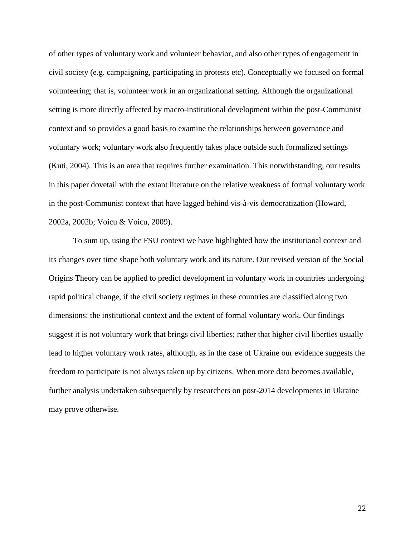of other types of voluntary work and volunteer behavior, and also other types of engagement in civil society (e.g. campaigning, participating in protests etc). Conceptually we focused on formal volunteering; that is, volunteer work in an organizational setting. Although the organizational setting is more directly affected by macro-institutional development within the post-Communist context and so provides a good basis to examine the relationships between governance and voluntary work; voluntary work also frequently takes place outside such formalized settings (Kuti, 2004). This is an area that requires further examination. This notwithstanding, our results in this paper dovetail with the extant literature on the relative weakness of formal voluntary work in the post-Communist context that have lagged behind vis-à-vis democratization (Howard, 2002a, 2002b; Voicu & Voicu, 2009).

To sum up, using the FSU context we have highlighted how the institutional context and its changes over time shape both voluntary work and its nature. Our revised version of the Social Origins Theory can be applied to predict development in voluntary work in countries undergoing rapid political change, if the civil society regimes in these countries are classified along two dimensions: the institutional context and the extent of formal voluntary work. Our findings suggest it is not voluntary work that brings civil liberties; rather that higher civil liberties usually lead to higher voluntary work rates, although, as in the case of Ukraine our evidence suggests the freedom to participate is not always taken up by citizens. When more data becomes available, further analysis undertaken subsequently by researchers on post-2014 developments in Ukraine may prove otherwise.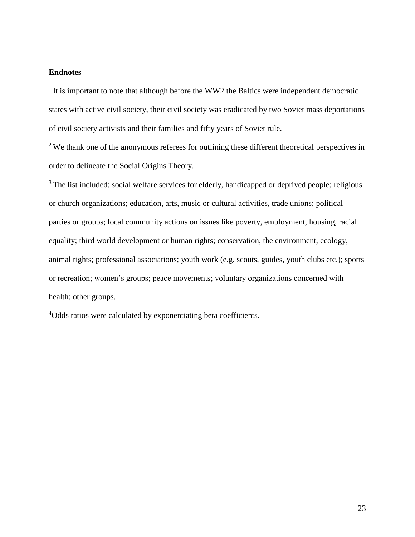#### **Endnotes**

 $1$  It is important to note that although before the WW2 the Baltics were independent democratic states with active civil society, their civil society was eradicated by two Soviet mass deportations of civil society activists and their families and fifty years of Soviet rule.

<sup>2</sup> We thank one of the anonymous referees for outlining these different theoretical perspectives in order to delineate the Social Origins Theory.

<sup>3</sup> The list included: social welfare services for elderly, handicapped or deprived people; religious or church organizations; education, arts, music or cultural activities, trade unions; political parties or groups; local community actions on issues like poverty, employment, housing, racial equality; third world development or human rights; conservation, the environment, ecology, animal rights; professional associations; youth work (e.g. scouts, guides, youth clubs etc.); sports or recreation; women's groups; peace movements; voluntary organizations concerned with health; other groups.

<sup>4</sup>Odds ratios were calculated by exponentiating beta coefficients.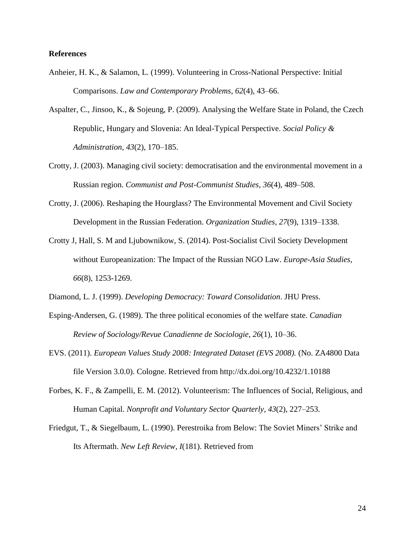#### **References**

- Anheier, H. K., & Salamon, L. (1999). Volunteering in Cross-National Perspective: Initial Comparisons. *Law and Contemporary Problems*, *62*(4), 43–66.
- Aspalter, C., Jinsoo, K., & Sojeung, P. (2009). Analysing the Welfare State in Poland, the Czech Republic, Hungary and Slovenia: An Ideal-Typical Perspective. *Social Policy & Administration*, *43*(2), 170–185.
- Crotty, J. (2003). Managing civil society: democratisation and the environmental movement in a Russian region. *Communist and Post-Communist Studies*, *36*(4), 489–508.
- Crotty, J. (2006). Reshaping the Hourglass? The Environmental Movement and Civil Society Development in the Russian Federation. *Organization Studies*, *27*(9), 1319–1338.
- Crotty J, Hall, S. M and Ljubownikow, S. (2014). Post-Socialist Civil Society Development without Europeanization: The Impact of the Russian NGO Law. *Europe-Asia Studies*, *66*(8), 1253-1269.
- Diamond, L. J. (1999). *Developing Democracy: Toward Consolidation*. JHU Press.
- Esping-Andersen, G. (1989). The three political economies of the welfare state. *Canadian Review of Sociology/Revue Canadienne de Sociologie*, *26*(1), 10–36.
- EVS. (2011). *European Values Study 2008: Integrated Dataset (EVS 2008).* (No. ZA4800 Data file Version 3.0.0). Cologne. Retrieved from http://dx.doi.org/10.4232/1.10188
- Forbes, K. F., & Zampelli, E. M. (2012). Volunteerism: The Influences of Social, Religious, and Human Capital. *Nonprofit and Voluntary Sector Quarterly*, *43*(2), 227–253.
- Friedgut, T., & Siegelbaum, L. (1990). Perestroika from Below: The Soviet Miners' Strike and Its Aftermath. *New Left Review*, *I*(181). Retrieved from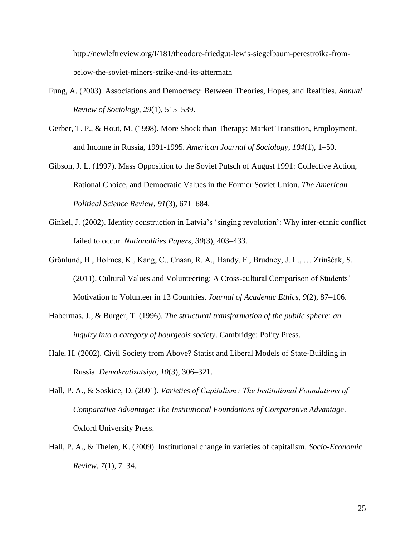http://newleftreview.org/I/181/theodore-friedgut-lewis-siegelbaum-perestroika-frombelow-the-soviet-miners-strike-and-its-aftermath

- Fung, A. (2003). Associations and Democracy: Between Theories, Hopes, and Realities. *Annual Review of Sociology*, *29*(1), 515–539.
- Gerber, T. P., & Hout, M. (1998). More Shock than Therapy: Market Transition, Employment, and Income in Russia, 1991‐1995. *American Journal of Sociology*, *104*(1), 1–50.
- Gibson, J. L. (1997). Mass Opposition to the Soviet Putsch of August 1991: Collective Action, Rational Choice, and Democratic Values in the Former Soviet Union. *The American Political Science Review*, *91*(3), 671–684.
- Ginkel, J. (2002). Identity construction in Latvia's 'singing revolution': Why inter-ethnic conflict failed to occur. *Nationalities Papers*, *30*(3), 403–433.
- Grönlund, H., Holmes, K., Kang, C., Cnaan, R. A., Handy, F., Brudney, J. L., … Zrinščak, S. (2011). Cultural Values and Volunteering: A Cross-cultural Comparison of Students' Motivation to Volunteer in 13 Countries. *Journal of Academic Ethics*, *9*(2), 87–106.
- Habermas, J., & Burger, T. (1996). *The structural transformation of the public sphere: an inquiry into a category of bourgeois society*. Cambridge: Polity Press.
- Hale, H. (2002). Civil Society from Above? Statist and Liberal Models of State-Building in Russia. *Demokratizatsiya*, *10*(3), 306–321.
- Hall, P. A., & Soskice, D. (2001). *Varieties of Capitalism : The Institutional Foundations of Comparative Advantage: The Institutional Foundations of Comparative Advantage*. Oxford University Press.
- Hall, P. A., & Thelen, K. (2009). Institutional change in varieties of capitalism. *Socio-Economic Review*, *7*(1), 7–34.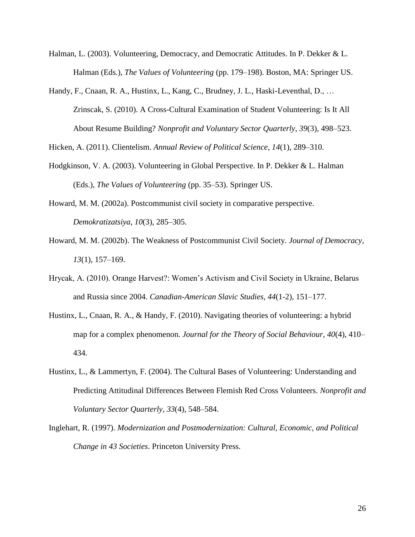- Halman, L. (2003). Volunteering, Democracy, and Democratic Attitudes. In P. Dekker & L. Halman (Eds.), *The Values of Volunteering* (pp. 179–198). Boston, MA: Springer US.
- Handy, F., Cnaan, R. A., Hustinx, L., Kang, C., Brudney, J. L., Haski-Leventhal, D., … Zrinscak, S. (2010). A Cross-Cultural Examination of Student Volunteering: Is It All About Resume Building? *Nonprofit and Voluntary Sector Quarterly*, *39*(3), 498–523.

Hicken, A. (2011). Clientelism. *Annual Review of Political Science*, *14*(1), 289–310.

- Hodgkinson, V. A. (2003). Volunteering in Global Perspective. In P. Dekker & L. Halman (Eds.), *The Values of Volunteering* (pp. 35–53). Springer US.
- Howard, M. M. (2002a). Postcommunist civil society in comparative perspective. *Demokratizatsiya*, *10*(3), 285–305.
- Howard, M. M. (2002b). The Weakness of Postcommunist Civil Society. *Journal of Democracy*, *13*(1), 157–169.
- Hrycak, A. (2010). Orange Harvest?: Women's Activism and Civil Society in Ukraine, Belarus and Russia since 2004. *Canadian-American Slavic Studies*, *44*(1-2), 151–177.
- Hustinx, L., Cnaan, R. A., & Handy, F. (2010). Navigating theories of volunteering: a hybrid map for a complex phenomenon. *Journal for the Theory of Social Behaviour*, *40*(4), 410– 434.
- Hustinx, L., & Lammertyn, F. (2004). The Cultural Bases of Volunteering: Understanding and Predicting Attitudinal Differences Between Flemish Red Cross Volunteers. *Nonprofit and Voluntary Sector Quarterly*, *33*(4), 548–584.
- Inglehart, R. (1997). *Modernization and Postmodernization: Cultural, Economic, and Political Change in 43 Societies*. Princeton University Press.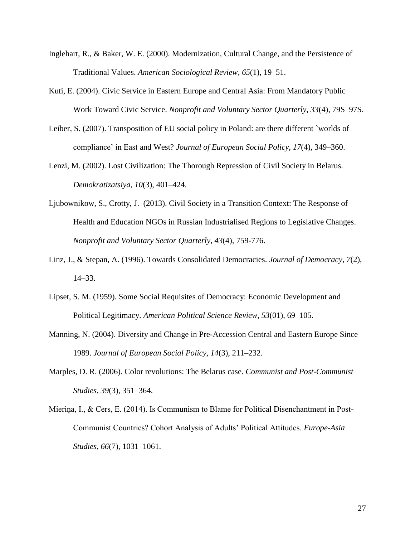- Inglehart, R., & Baker, W. E. (2000). Modernization, Cultural Change, and the Persistence of Traditional Values. *American Sociological Review*, *65*(1), 19–51.
- Kuti, E. (2004). Civic Service in Eastern Europe and Central Asia: From Mandatory Public Work Toward Civic Service. *Nonprofit and Voluntary Sector Quarterly*, *33*(4), 79S–97S.
- Leiber, S. (2007). Transposition of EU social policy in Poland: are there different `worlds of compliance' in East and West? *Journal of European Social Policy*, *17*(4), 349–360.
- Lenzi, M. (2002). Lost Civilization: The Thorough Repression of Civil Society in Belarus. *Demokratizatsiya*, *10*(3), 401–424.
- Ljubownikow, S., Crotty, J. (2013). Civil Society in a Transition Context: The Response of Health and Education NGOs in Russian Industrialised Regions to Legislative Changes. *Nonprofit and Voluntary Sector Quarterly*, *43*(4), 759-776.
- Linz, J., & Stepan, A. (1996). Towards Consolidated Democracies. *Journal of Democracy*, *7*(2), 14–33.
- Lipset, S. M. (1959). Some Social Requisites of Democracy: Economic Development and Political Legitimacy. *American Political Science Review*, *53*(01), 69–105.
- Manning, N. (2004). Diversity and Change in Pre-Accession Central and Eastern Europe Since 1989. *Journal of European Social Policy*, *14*(3), 211–232.
- Marples, D. R. (2006). Color revolutions: The Belarus case. *Communist and Post-Communist Studies*, *39*(3), 351–364.
- Mieriņa, I., & Cers, E. (2014). Is Communism to Blame for Political Disenchantment in Post-Communist Countries? Cohort Analysis of Adults' Political Attitudes. *Europe-Asia Studies*, *66*(7), 1031–1061.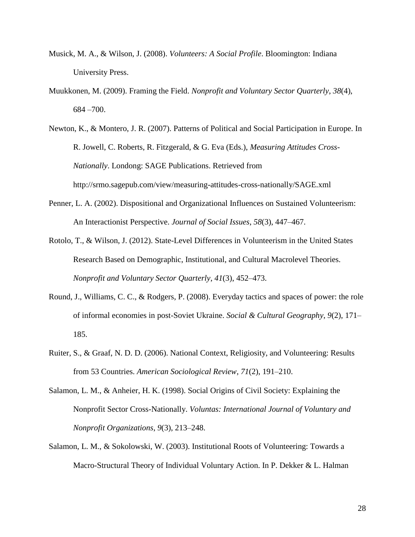- Musick, M. A., & Wilson, J. (2008). *Volunteers: A Social Profile*. Bloomington: Indiana University Press.
- Muukkonen, M. (2009). Framing the Field. *Nonprofit and Voluntary Sector Quarterly*, *38*(4), 684 –700.

Newton, K., & Montero, J. R. (2007). Patterns of Political and Social Participation in Europe. In R. Jowell, C. Roberts, R. Fitzgerald, & G. Eva (Eds.), *Measuring Attitudes Cross-Nationally*. Londong: SAGE Publications. Retrieved from http://srmo.sagepub.com/view/measuring-attitudes-cross-nationally/SAGE.xml

- Penner, L. A. (2002). Dispositional and Organizational Influences on Sustained Volunteerism: An Interactionist Perspective. *Journal of Social Issues*, *58*(3), 447–467.
- Rotolo, T., & Wilson, J. (2012). State-Level Differences in Volunteerism in the United States Research Based on Demographic, Institutional, and Cultural Macrolevel Theories. *Nonprofit and Voluntary Sector Quarterly*, *41*(3), 452–473.
- Round, J., Williams, C. C., & Rodgers, P. (2008). Everyday tactics and spaces of power: the role of informal economies in post-Soviet Ukraine. *Social & Cultural Geography*, *9*(2), 171– 185.
- Ruiter, S., & Graaf, N. D. D. (2006). National Context, Religiosity, and Volunteering: Results from 53 Countries. *American Sociological Review*, *71*(2), 191–210.
- Salamon, L. M., & Anheier, H. K. (1998). Social Origins of Civil Society: Explaining the Nonprofit Sector Cross-Nationally. *Voluntas: International Journal of Voluntary and Nonprofit Organizations*, *9*(3), 213–248.
- Salamon, L. M., & Sokolowski, W. (2003). Institutional Roots of Volunteering: Towards a Macro-Structural Theory of Individual Voluntary Action. In P. Dekker & L. Halman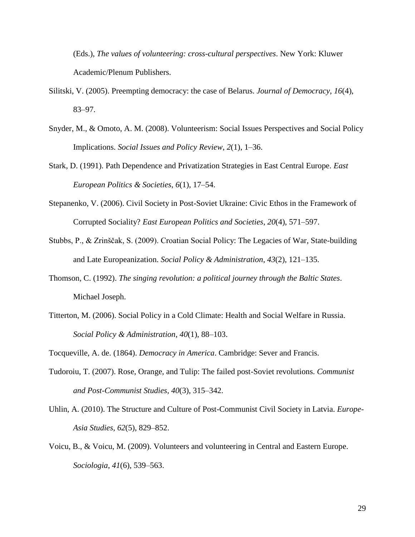(Eds.), *The values of volunteering: cross-cultural perspectives*. New York: Kluwer Academic/Plenum Publishers.

- Silitski, V. (2005). Preempting democracy: the case of Belarus. *Journal of Democracy*, *16*(4), 83–97.
- Snyder, M., & Omoto, A. M. (2008). Volunteerism: Social Issues Perspectives and Social Policy Implications. *Social Issues and Policy Review*, *2*(1), 1–36.
- Stark, D. (1991). Path Dependence and Privatization Strategies in East Central Europe. *East European Politics & Societies*, *6*(1), 17–54.
- Stepanenko, V. (2006). Civil Society in Post-Soviet Ukraine: Civic Ethos in the Framework of Corrupted Sociality? *East European Politics and Societies*, *20*(4), 571–597.
- Stubbs, P., & Zrinščak, S. (2009). Croatian Social Policy: The Legacies of War, State-building and Late Europeanization. *Social Policy & Administration*, *43*(2), 121–135.
- Thomson, C. (1992). *The singing revolution: a political journey through the Baltic States*. Michael Joseph.
- Titterton, M. (2006). Social Policy in a Cold Climate: Health and Social Welfare in Russia. *Social Policy & Administration*, *40*(1), 88–103.
- Tocqueville, A. de. (1864). *Democracy in America*. Cambridge: Sever and Francis.
- Tudoroiu, T. (2007). Rose, Orange, and Tulip: The failed post-Soviet revolutions. *Communist and Post-Communist Studies*, *40*(3), 315–342.
- Uhlin, A. (2010). The Structure and Culture of Post-Communist Civil Society in Latvia. *Europe-Asia Studies*, *62*(5), 829–852.
- Voicu, B., & Voicu, M. (2009). Volunteers and volunteering in Central and Eastern Europe. *Sociologia*, *41*(6), 539–563.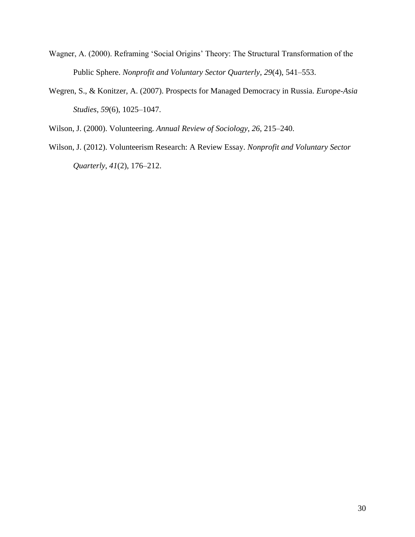- Wagner, A. (2000). Reframing 'Social Origins' Theory: The Structural Transformation of the Public Sphere. *Nonprofit and Voluntary Sector Quarterly*, *29*(4), 541–553.
- Wegren, S., & Konitzer, A. (2007). Prospects for Managed Democracy in Russia. *Europe-Asia Studies*, *59*(6), 1025–1047.

Wilson, J. (2000). Volunteering. *Annual Review of Sociology*, *26*, 215–240.

Wilson, J. (2012). Volunteerism Research: A Review Essay. *Nonprofit and Voluntary Sector Quarterly*, *41*(2), 176–212.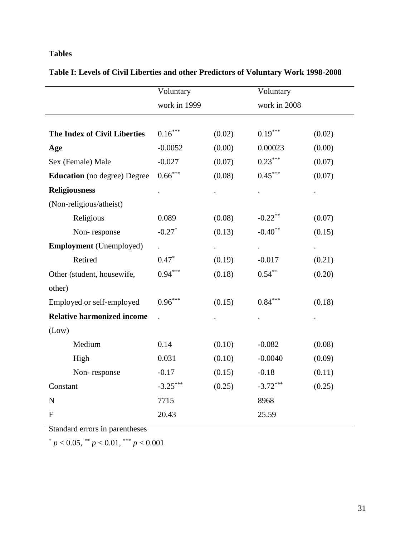### **Tables**

|  | Table I: Levels of Civil Liberties and other Predictors of Voluntary Work 1998-2008 |
|--|-------------------------------------------------------------------------------------|
|  |                                                                                     |

|                                     | Voluntary    |        | Voluntary                  |        |
|-------------------------------------|--------------|--------|----------------------------|--------|
|                                     | work in 1999 |        | work in 2008               |        |
| <b>The Index of Civil Liberties</b> | $0.16***$    | (0.02) | $0.19***$                  | (0.02) |
| Age                                 | $-0.0052$    | (0.00) | 0.00023                    | (0.00) |
| Sex (Female) Male                   | $-0.027$     | (0.07) | $0.23***$                  | (0.07) |
| <b>Education</b> (no degree) Degree | $0.66***$    | (0.08) | $0.45***$                  | (0.07) |
| <b>Religiousness</b>                |              |        |                            |        |
| (Non-religious/atheist)             |              |        |                            |        |
| Religious                           | 0.089        | (0.08) | $-0.22$ <sup>**</sup>      | (0.07) |
| Non-response                        | $-0.27*$     | (0.13) | $-0.40$ **                 | (0.15) |
| <b>Employment</b> (Unemployed)      |              |        | $\mathcal{L}^{\text{max}}$ |        |
| Retired                             | $0.47*$      | (0.19) | $-0.017$                   | (0.21) |
| Other (student, housewife,          | $0.94***$    | (0.18) | $0.54***$                  | (0.20) |
| other)                              |              |        |                            |        |
| Employed or self-employed           | $0.96***$    | (0.15) | $0.84***$                  | (0.18) |
| <b>Relative harmonized income</b>   |              |        |                            |        |
| (Low)                               |              |        |                            |        |
| Medium                              | 0.14         | (0.10) | $-0.082$                   | (0.08) |
| High                                | 0.031        | (0.10) | $-0.0040$                  | (0.09) |
| Non-response                        | $-0.17$      | (0.15) | $-0.18$                    | (0.11) |
| Constant                            | $-3.25***$   | (0.25) | $-3.72***$                 | (0.25) |
| $\mathbf N$                         | 7715         |        | 8968                       |        |
| $\mathbf{F}$                        | 20.43        |        | 25.59                      |        |

Standard errors in parentheses

 $p < 0.05$ ,  $\binom{**}{p} < 0.01$ ,  $\binom{***}{p} < 0.001$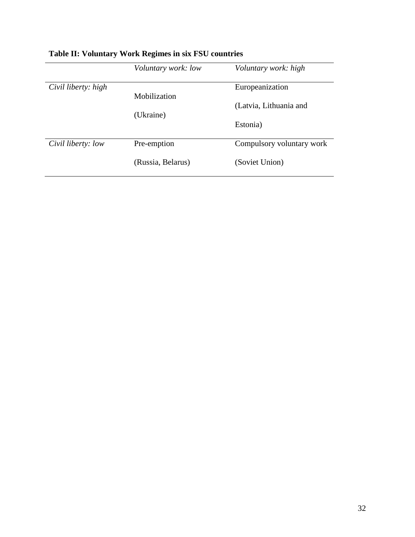|                     | Voluntary work: low | Voluntary work: high      |
|---------------------|---------------------|---------------------------|
| Civil liberty: high | Mobilization        | Europeanization           |
|                     | (Ukraine)           | (Latvia, Lithuania and    |
|                     |                     | Estonia)                  |
| Civil liberty: low  | Pre-emption         | Compulsory voluntary work |
|                     | (Russia, Belarus)   | (Soviet Union)            |

# **Table II: Voluntary Work Regimes in six FSU countries**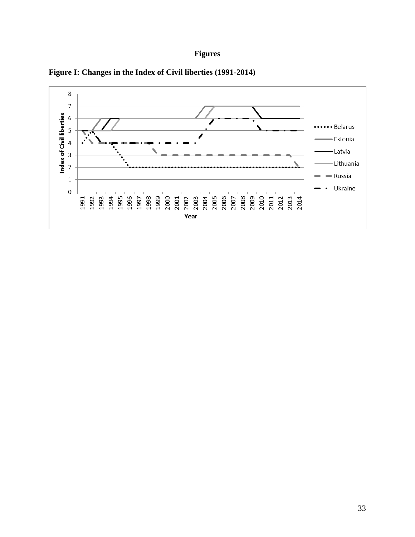## **Figures**



**Figure I: Changes in the Index of Civil liberties (1991-2014)**